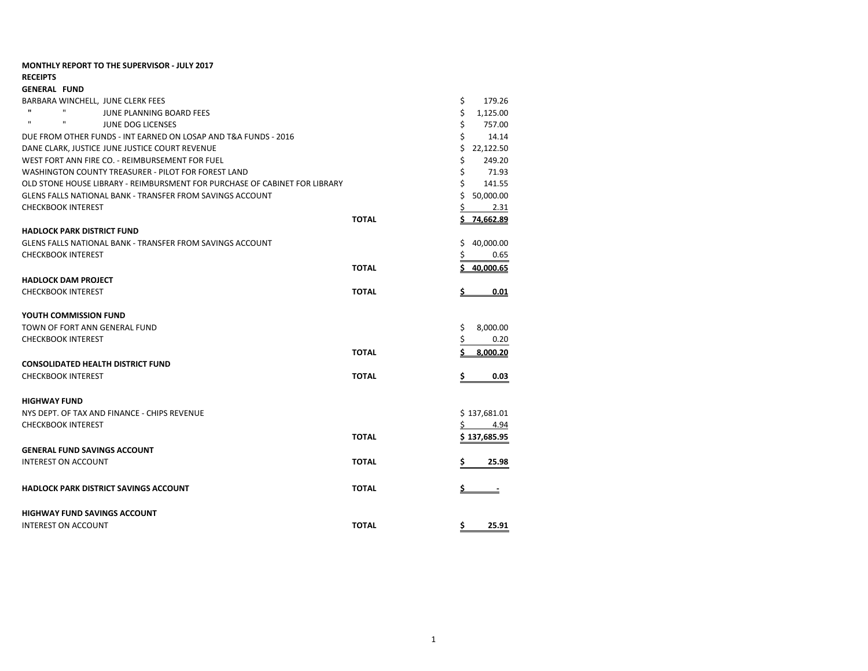| \$<br>179.26<br>$\mathbf{u}$<br>$\mathbf{u}$<br>\$<br>1,125.00<br>JUNE PLANNING BOARD FEES<br>$\mathbf{u}$<br>$\mathbf{u}$<br>\$<br>757.00<br><b>JUNE DOG LICENSES</b><br>\$<br>14.14<br>\$<br>22,122.50<br>\$<br>249.20<br>\$<br>71.93<br>\$<br>OLD STONE HOUSE LIBRARY - REIMBURSMENT FOR PURCHASE OF CABINET FOR LIBRARY<br>141.55<br>Ś.<br>50,000.00<br>\$.<br>2.31<br><b>TOTAL</b><br>$5$ 74,662.89<br>Ś.<br>40,000.00<br>\$<br>0.65<br>\$40,000.65<br><b>TOTAL</b><br><b>TOTAL</b><br>0.01<br>8,000.00<br>\$<br>\$<br>0.20<br><b>TOTAL</b><br>8,000.20<br><b>TOTAL</b><br>\$<br>0.03<br>\$137,681.01<br>Ś.<br>4.94<br><b>TOTAL</b><br>\$137,685.95<br><b>GENERAL FUND SAVINGS ACCOUNT</b><br><b>TOTAL</b><br><b>INTEREST ON ACCOUNT</b><br>25.98<br>s<br><b>TOTAL</b><br><b>TOTAL</b><br>25.91<br>\$ | <b>MONTHLY REPORT TO THE SUPERVISOR - JULY 2017</b>              |  |
|------------------------------------------------------------------------------------------------------------------------------------------------------------------------------------------------------------------------------------------------------------------------------------------------------------------------------------------------------------------------------------------------------------------------------------------------------------------------------------------------------------------------------------------------------------------------------------------------------------------------------------------------------------------------------------------------------------------------------------------------------------------------------------------------------------|------------------------------------------------------------------|--|
|                                                                                                                                                                                                                                                                                                                                                                                                                                                                                                                                                                                                                                                                                                                                                                                                            | <b>RECEIPTS</b>                                                  |  |
|                                                                                                                                                                                                                                                                                                                                                                                                                                                                                                                                                                                                                                                                                                                                                                                                            | <b>GENERAL FUND</b>                                              |  |
|                                                                                                                                                                                                                                                                                                                                                                                                                                                                                                                                                                                                                                                                                                                                                                                                            | BARBARA WINCHELL, JUNE CLERK FEES                                |  |
|                                                                                                                                                                                                                                                                                                                                                                                                                                                                                                                                                                                                                                                                                                                                                                                                            |                                                                  |  |
|                                                                                                                                                                                                                                                                                                                                                                                                                                                                                                                                                                                                                                                                                                                                                                                                            |                                                                  |  |
|                                                                                                                                                                                                                                                                                                                                                                                                                                                                                                                                                                                                                                                                                                                                                                                                            | DUE FROM OTHER FUNDS - INT EARNED ON LOSAP AND T&A FUNDS - 2016  |  |
|                                                                                                                                                                                                                                                                                                                                                                                                                                                                                                                                                                                                                                                                                                                                                                                                            | DANE CLARK, JUSTICE JUNE JUSTICE COURT REVENUE                   |  |
|                                                                                                                                                                                                                                                                                                                                                                                                                                                                                                                                                                                                                                                                                                                                                                                                            | WEST FORT ANN FIRE CO. - REIMBURSEMENT FOR FUEL                  |  |
|                                                                                                                                                                                                                                                                                                                                                                                                                                                                                                                                                                                                                                                                                                                                                                                                            | WASHINGTON COUNTY TREASURER - PILOT FOR FOREST LAND              |  |
|                                                                                                                                                                                                                                                                                                                                                                                                                                                                                                                                                                                                                                                                                                                                                                                                            |                                                                  |  |
|                                                                                                                                                                                                                                                                                                                                                                                                                                                                                                                                                                                                                                                                                                                                                                                                            | <b>GLENS FALLS NATIONAL BANK - TRANSFER FROM SAVINGS ACCOUNT</b> |  |
|                                                                                                                                                                                                                                                                                                                                                                                                                                                                                                                                                                                                                                                                                                                                                                                                            | <b>CHECKBOOK INTEREST</b>                                        |  |
|                                                                                                                                                                                                                                                                                                                                                                                                                                                                                                                                                                                                                                                                                                                                                                                                            |                                                                  |  |
|                                                                                                                                                                                                                                                                                                                                                                                                                                                                                                                                                                                                                                                                                                                                                                                                            | <b>HADLOCK PARK DISTRICT FUND</b>                                |  |
|                                                                                                                                                                                                                                                                                                                                                                                                                                                                                                                                                                                                                                                                                                                                                                                                            | GLENS FALLS NATIONAL BANK - TRANSFER FROM SAVINGS ACCOUNT        |  |
|                                                                                                                                                                                                                                                                                                                                                                                                                                                                                                                                                                                                                                                                                                                                                                                                            | <b>CHECKBOOK INTEREST</b>                                        |  |
|                                                                                                                                                                                                                                                                                                                                                                                                                                                                                                                                                                                                                                                                                                                                                                                                            |                                                                  |  |
|                                                                                                                                                                                                                                                                                                                                                                                                                                                                                                                                                                                                                                                                                                                                                                                                            | <b>HADLOCK DAM PROJECT</b>                                       |  |
|                                                                                                                                                                                                                                                                                                                                                                                                                                                                                                                                                                                                                                                                                                                                                                                                            | <b>CHECKBOOK INTEREST</b>                                        |  |
|                                                                                                                                                                                                                                                                                                                                                                                                                                                                                                                                                                                                                                                                                                                                                                                                            |                                                                  |  |
|                                                                                                                                                                                                                                                                                                                                                                                                                                                                                                                                                                                                                                                                                                                                                                                                            | YOUTH COMMISSION FUND                                            |  |
|                                                                                                                                                                                                                                                                                                                                                                                                                                                                                                                                                                                                                                                                                                                                                                                                            | TOWN OF FORT ANN GENERAL FUND                                    |  |
|                                                                                                                                                                                                                                                                                                                                                                                                                                                                                                                                                                                                                                                                                                                                                                                                            | <b>CHECKBOOK INTEREST</b>                                        |  |
|                                                                                                                                                                                                                                                                                                                                                                                                                                                                                                                                                                                                                                                                                                                                                                                                            |                                                                  |  |
|                                                                                                                                                                                                                                                                                                                                                                                                                                                                                                                                                                                                                                                                                                                                                                                                            | <b>CONSOLIDATED HEALTH DISTRICT FUND</b>                         |  |
|                                                                                                                                                                                                                                                                                                                                                                                                                                                                                                                                                                                                                                                                                                                                                                                                            | <b>CHECKBOOK INTEREST</b>                                        |  |
|                                                                                                                                                                                                                                                                                                                                                                                                                                                                                                                                                                                                                                                                                                                                                                                                            |                                                                  |  |
|                                                                                                                                                                                                                                                                                                                                                                                                                                                                                                                                                                                                                                                                                                                                                                                                            | <b>HIGHWAY FUND</b>                                              |  |
|                                                                                                                                                                                                                                                                                                                                                                                                                                                                                                                                                                                                                                                                                                                                                                                                            | NYS DEPT. OF TAX AND FINANCE - CHIPS REVENUE                     |  |
|                                                                                                                                                                                                                                                                                                                                                                                                                                                                                                                                                                                                                                                                                                                                                                                                            | <b>CHECKBOOK INTEREST</b>                                        |  |
|                                                                                                                                                                                                                                                                                                                                                                                                                                                                                                                                                                                                                                                                                                                                                                                                            |                                                                  |  |
|                                                                                                                                                                                                                                                                                                                                                                                                                                                                                                                                                                                                                                                                                                                                                                                                            |                                                                  |  |
|                                                                                                                                                                                                                                                                                                                                                                                                                                                                                                                                                                                                                                                                                                                                                                                                            |                                                                  |  |
|                                                                                                                                                                                                                                                                                                                                                                                                                                                                                                                                                                                                                                                                                                                                                                                                            |                                                                  |  |
|                                                                                                                                                                                                                                                                                                                                                                                                                                                                                                                                                                                                                                                                                                                                                                                                            | <b>HADLOCK PARK DISTRICT SAVINGS ACCOUNT</b>                     |  |
|                                                                                                                                                                                                                                                                                                                                                                                                                                                                                                                                                                                                                                                                                                                                                                                                            | <b>HIGHWAY FUND SAVINGS ACCOUNT</b>                              |  |
|                                                                                                                                                                                                                                                                                                                                                                                                                                                                                                                                                                                                                                                                                                                                                                                                            | <b>INTEREST ON ACCOUNT</b>                                       |  |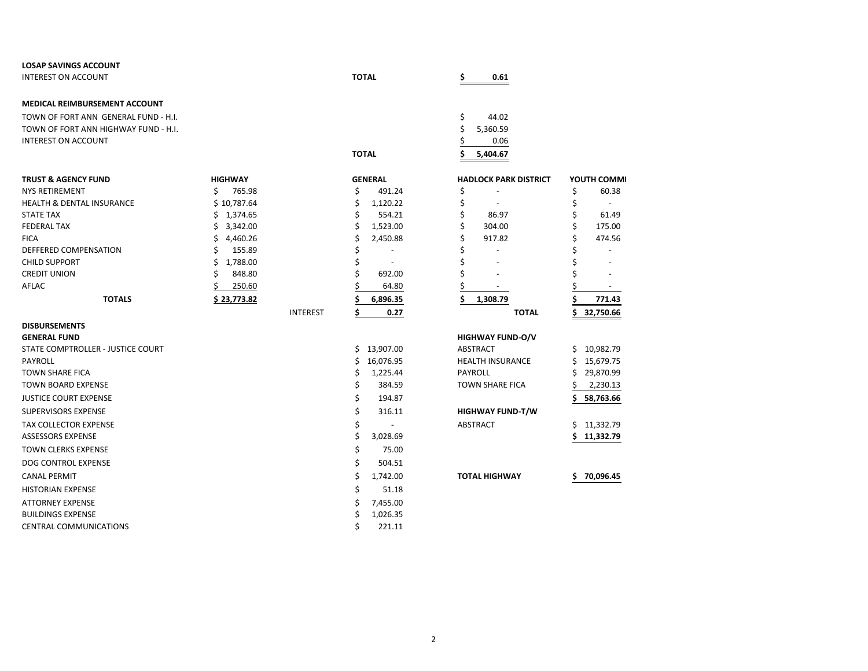| <b>LOSAP SAVINGS ACCOUNT</b>         |                |                 |     |                |                              |                                |
|--------------------------------------|----------------|-----------------|-----|----------------|------------------------------|--------------------------------|
| <b>INTEREST ON ACCOUNT</b>           |                |                 |     | <b>TOTAL</b>   | 0.61                         |                                |
| MEDICAL REIMBURSEMENT ACCOUNT        |                |                 |     |                |                              |                                |
| TOWN OF FORT ANN GENERAL FUND - H.I. |                |                 |     |                | \$<br>44.02                  |                                |
| TOWN OF FORT ANN HIGHWAY FUND - H.I. |                |                 |     |                | \$<br>5,360.59               |                                |
| <b>INTEREST ON ACCOUNT</b>           |                |                 |     |                | 0.06                         |                                |
|                                      |                |                 |     | <b>TOTAL</b>   | 5,404.67                     |                                |
| <b>TRUST &amp; AGENCY FUND</b>       | <b>HIGHWAY</b> |                 |     | <b>GENERAL</b> | <b>HADLOCK PARK DISTRICT</b> | YOUTH COMMI                    |
| <b>NYS RETIREMENT</b>                | \$<br>765.98   |                 | \$  | 491.24         | \$                           | \$<br>60.38                    |
| <b>HEALTH &amp; DENTAL INSURANCE</b> | \$10,787.64    |                 | \$  | 1,120.22       | \$                           | \$<br>$\overline{\phantom{a}}$ |
| <b>STATE TAX</b>                     | \$1,374.65     |                 |     | 554.21         | \$<br>86.97                  | \$<br>61.49                    |
| <b>FEDERAL TAX</b>                   | \$<br>3,342.00 |                 |     | 1,523.00       | \$<br>304.00                 | \$<br>175.00                   |
| <b>FICA</b>                          | \$<br>4,460.26 |                 |     | 2,450.88       | \$<br>917.82                 | Ś<br>474.56                    |
| DEFFERED COMPENSATION                | \$<br>155.89   |                 | Ś   |                | \$                           | \$                             |
| <b>CHILD SUPPORT</b>                 | \$<br>1,788.00 |                 |     |                | \$                           |                                |
| <b>CREDIT UNION</b>                  | Ś<br>848.80    |                 |     | 692.00         | \$                           |                                |
| AFLAC                                | 250.60         |                 |     | 64.80          |                              | $\overline{\phantom{a}}$       |
| <b>TOTALS</b>                        | \$23,773.82    |                 |     | 6,896.35       | \$<br>1,308.79               | 771.43                         |
|                                      |                | <b>INTEREST</b> |     | 0.27           | <b>TOTAL</b>                 | 32,750.66<br>Ś                 |
| <b>DISBURSEMENTS</b>                 |                |                 |     |                |                              |                                |
| <b>GENERAL FUND</b>                  |                |                 |     |                | <b>HIGHWAY FUND-O/V</b>      |                                |
| STATE COMPTROLLER - JUSTICE COURT    |                |                 | \$. | 13,907.00      | ABSTRACT                     | 10,982.79<br>\$                |
| <b>PAYROLL</b>                       |                |                 | Ś.  | 16,076.95      | <b>HEALTH INSURANCE</b>      | Ś<br>15,679.75                 |
| <b>TOWN SHARE FICA</b>               |                |                 | \$  | 1,225.44       | PAYROLL                      | Ś<br>29,870.99                 |
| <b>TOWN BOARD EXPENSE</b>            |                |                 | \$  | 384.59         | <b>TOWN SHARE FICA</b>       | Ś<br>2,230.13                  |
| <b>JUSTICE COURT EXPENSE</b>         |                |                 | Ś   | 194.87         |                              | Ś<br>58,763.66                 |
| <b>SUPERVISORS EXPENSE</b>           |                |                 | \$  | 316.11         | <b>HIGHWAY FUND-T/W</b>      |                                |
| <b>TAX COLLECTOR EXPENSE</b>         |                |                 | \$  | $\overline{a}$ | <b>ABSTRACT</b>              | \$11,332.79                    |
| <b>ASSESSORS EXPENSE</b>             |                |                 | \$  | 3,028.69       |                              | 11,332.79                      |
| <b>TOWN CLERKS EXPENSE</b>           |                |                 | \$  | 75.00          |                              |                                |
| <b>DOG CONTROL EXPENSE</b>           |                |                 | Ś   | 504.51         |                              |                                |
| <b>CANAL PERMIT</b>                  |                |                 | \$  | 1,742.00       | <b>TOTAL HIGHWAY</b>         | 70,096.45                      |
| <b>HISTORIAN EXPENSE</b>             |                |                 | Ś   | 51.18          |                              |                                |
| <b>ATTORNEY EXPENSE</b>              |                |                 |     | 7,455.00       |                              |                                |
| <b>BUILDINGS EXPENSE</b>             |                |                 |     | 1,026.35       |                              |                                |
| CENTRAL COMMUNICATIONS               |                |                 |     | 221.11         |                              |                                |

| HADLOCK PARK DISTRICT |              |    | YOUTH COMM |
|-----------------------|--------------|----|------------|
| \$                    |              | \$ | 60.38      |
| \$                    |              | \$ |            |
| \$<br>86.97           |              | \$ | 61.49      |
| \$<br>304.00          |              | \$ | 175.00     |
| \$<br>917.82          |              | \$ | 474.56     |
| \$                    |              | \$ |            |
| \$                    |              | \$ |            |
| \$                    |              | \$ |            |
| \$                    |              | \$ |            |
| \$<br>1,308.79        |              | \$ | 771.43     |
|                       | <b>TOTAL</b> | Ś  | 32,750.66  |

| ABSTRACT                |
|-------------------------|
| <b>HEALTH INSURANCE</b> |
| PAYROLL                 |

| <b>TOWN SHARE FICA</b>  |    |
|-------------------------|----|
|                         | \$ |
| <b>HIGHWAY FUND-T/W</b> |    |

| \$11,332. |
|-----------|
| \$11,332. |
|           |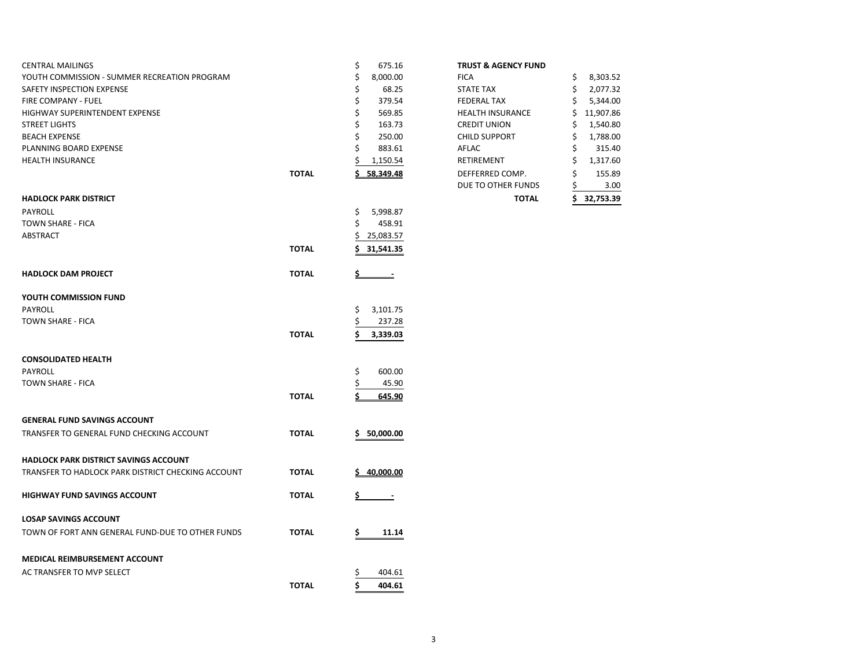| <b>CENTRAL MAILINGS</b>                            |              | \$<br>675.16   | <b>TRUST &amp; AGENCY FUND</b> |                  |
|----------------------------------------------------|--------------|----------------|--------------------------------|------------------|
| YOUTH COMMISSION - SUMMER RECREATION PROGRAM       |              | \$<br>8,000.00 | <b>FICA</b>                    | 8,303.52<br>\$   |
| SAFETY INSPECTION EXPENSE                          |              | \$<br>68.25    | <b>STATE TAX</b>               | \$<br>2,077.32   |
| FIRE COMPANY - FUEL                                |              | \$<br>379.54   | <b>FEDERAL TAX</b>             | 5,344.00         |
| HIGHWAY SUPERINTENDENT EXPENSE                     |              | \$<br>569.85   | <b>HEALTH INSURANCE</b>        | Ś.<br>11,907.86  |
| <b>STREET LIGHTS</b>                               |              | \$<br>163.73   | <b>CREDIT UNION</b>            | 1,540.80<br>S    |
| <b>BEACH EXPENSE</b>                               |              | \$<br>250.00   | <b>CHILD SUPPORT</b>           | \$<br>1,788.00   |
| PLANNING BOARD EXPENSE                             |              | \$<br>883.61   | AFLAC                          | \$<br>315.40     |
| <b>HEALTH INSURANCE</b>                            |              | 1,150.54       | RETIREMENT                     | \$<br>1,317.60   |
|                                                    | <b>TOTAL</b> | 58,349.48      | DEFFERRED COMP.                | \$<br>155.89     |
|                                                    |              |                | DUE TO OTHER FUNDS             | \$<br>3.00       |
| <b>HADLOCK PARK DISTRICT</b>                       |              |                | <b>TOTAL</b>                   | 32,753.39<br>\$. |
| PAYROLL                                            |              | \$<br>5,998.87 |                                |                  |
| <b>TOWN SHARE - FICA</b>                           |              | Ś<br>458.91    |                                |                  |
| ABSTRACT                                           |              | 25,083.57      |                                |                  |
|                                                    | <b>TOTAL</b> | Ś<br>31,541.35 |                                |                  |
| <b>HADLOCK DAM PROJECT</b>                         | <b>TOTAL</b> | <u>s</u>       |                                |                  |
| YOUTH COMMISSION FUND                              |              |                |                                |                  |
| PAYROLL                                            |              | \$<br>3,101.75 |                                |                  |
| <b>TOWN SHARE - FICA</b>                           |              | 237.28         |                                |                  |
|                                                    | <b>TOTAL</b> | 3,339.03       |                                |                  |
| <b>CONSOLIDATED HEALTH</b>                         |              |                |                                |                  |
| PAYROLL                                            |              | \$<br>600.00   |                                |                  |
| <b>TOWN SHARE - FICA</b>                           |              | 45.90          |                                |                  |
|                                                    | <b>TOTAL</b> | 645.90         |                                |                  |
| <b>GENERAL FUND SAVINGS ACCOUNT</b>                |              |                |                                |                  |
|                                                    | <b>TOTAL</b> |                |                                |                  |
| TRANSFER TO GENERAL FUND CHECKING ACCOUNT          |              | 50,000.00<br>s |                                |                  |
| <b>HADLOCK PARK DISTRICT SAVINGS ACCOUNT</b>       |              |                |                                |                  |
| TRANSFER TO HADLOCK PARK DISTRICT CHECKING ACCOUNT | <b>TOTAL</b> | \$40,000.00    |                                |                  |
| <b>HIGHWAY FUND SAVINGS ACCOUNT</b>                | <b>TOTAL</b> |                |                                |                  |
| <b>LOSAP SAVINGS ACCOUNT</b>                       |              |                |                                |                  |
| TOWN OF FORT ANN GENERAL FUND-DUE TO OTHER FUNDS   | <b>TOTAL</b> | \$<br>11.14    |                                |                  |
| MEDICAL REIMBURSEMENT ACCOUNT                      |              |                |                                |                  |
| AC TRANSFER TO MVP SELECT                          |              | 404.61         |                                |                  |
|                                                    | <b>TOTAL</b> | \$<br>404.61   |                                |                  |
|                                                    |              |                |                                |                  |

## **TRUST & AGENCY FUND**

|       |                | TOTAL                   | 32,753.39       |
|-------|----------------|-------------------------|-----------------|
|       |                | DUE TO OTHER FUNDS      | 3.00            |
| TOTAL | 58,349.48      | DEFFERRED COMP.         | \$<br>155.89    |
|       | 1,150.54       | RETIREMENT              | \$<br>1,317.60  |
|       | \$<br>883.61   | AFLAC                   | \$<br>315.40    |
|       | \$<br>250.00   | <b>CHILD SUPPORT</b>    | \$<br>1,788.00  |
|       | \$<br>163.73   | <b>CREDIT UNION</b>     | \$<br>1,540.80  |
|       | \$<br>569.85   | <b>HEALTH INSURANCE</b> | \$<br>11,907.86 |
|       | \$<br>379.54   | <b>FEDERAL TAX</b>      | \$<br>5,344.00  |
|       | \$<br>68.25    | <b>STATE TAX</b>        | \$<br>2,077.32  |
|       | \$<br>8,000.00 | <b>FICA</b>             | \$<br>8,303.52  |